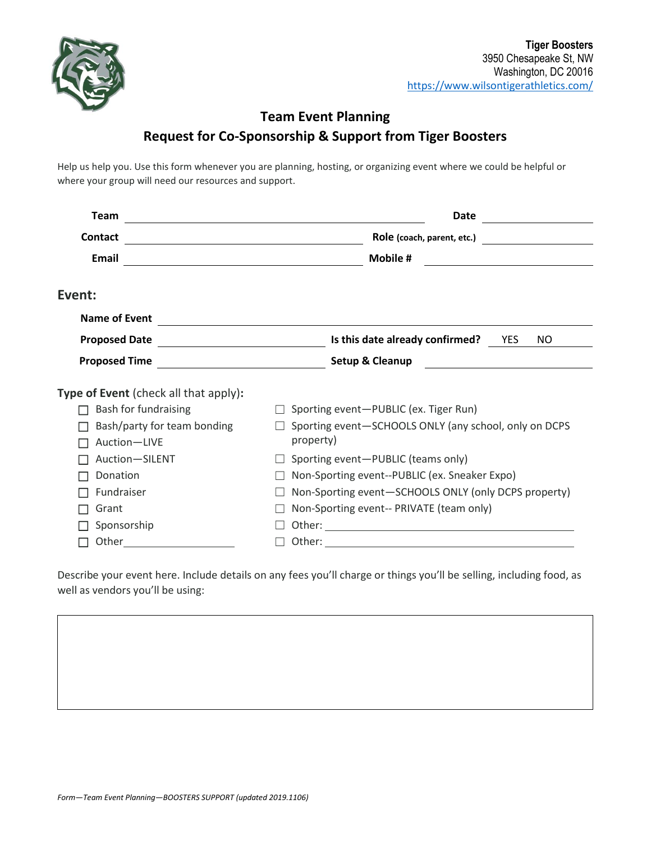

## **Team Event Planning Request for Co-Sponsorship & Support from Tiger Boosters**

Help us help you. Use this form whenever you are planning, hosting, or organizing event where we could be helpful or where your group will need our resources and support.

| <b>Team</b>                                                                                                                                                                                                                    | Date                                                                                                               |  |  |
|--------------------------------------------------------------------------------------------------------------------------------------------------------------------------------------------------------------------------------|--------------------------------------------------------------------------------------------------------------------|--|--|
| <b>Contact</b>                                                                                                                                                                                                                 | Role (coach, parent, etc.)                                                                                         |  |  |
| Email                                                                                                                                                                                                                          | Mobile #<br><u> 1989 - Jan Samuel Barbara, martin d</u><br><u> 1989 - Johann Barnett, fransk politik (d. 1989)</u> |  |  |
| Event:                                                                                                                                                                                                                         |                                                                                                                    |  |  |
| <b>Name of Event</b>                                                                                                                                                                                                           |                                                                                                                    |  |  |
| <b>Proposed Date</b>                                                                                                                                                                                                           | Is this date already confirmed?<br><b>YES</b><br>NO.                                                               |  |  |
| <b>Proposed Time</b>                                                                                                                                                                                                           | Setup & Cleanup                                                                                                    |  |  |
| <b>Type of Event</b> (check all that apply):                                                                                                                                                                                   |                                                                                                                    |  |  |
| Bash for fundraising                                                                                                                                                                                                           | Sporting event-PUBLIC (ex. Tiger Run)                                                                              |  |  |
| Bash/party for team bonding                                                                                                                                                                                                    | Sporting event-SCHOOLS ONLY (any school, only on DCPS                                                              |  |  |
| Auction-LIVE                                                                                                                                                                                                                   | property)                                                                                                          |  |  |
| Auction-SILENT                                                                                                                                                                                                                 | Sporting event-PUBLIC (teams only)                                                                                 |  |  |
| Donation                                                                                                                                                                                                                       | Non-Sporting event--PUBLIC (ex. Sneaker Expo)                                                                      |  |  |
| Fundraiser                                                                                                                                                                                                                     | Non-Sporting event-SCHOOLS ONLY (only DCPS property)                                                               |  |  |
| Grant                                                                                                                                                                                                                          | Non-Sporting event-- PRIVATE (team only)                                                                           |  |  |
| Sponsorship                                                                                                                                                                                                                    |                                                                                                                    |  |  |
| Other the contract of the contract of the contract of the contract of the contract of the contract of the contract of the contract of the contract of the contract of the contract of the contract of the contract of the cont |                                                                                                                    |  |  |

Describe your event here. Include details on any fees you'll charge or things you'll be selling, including food, as well as vendors you'll be using: